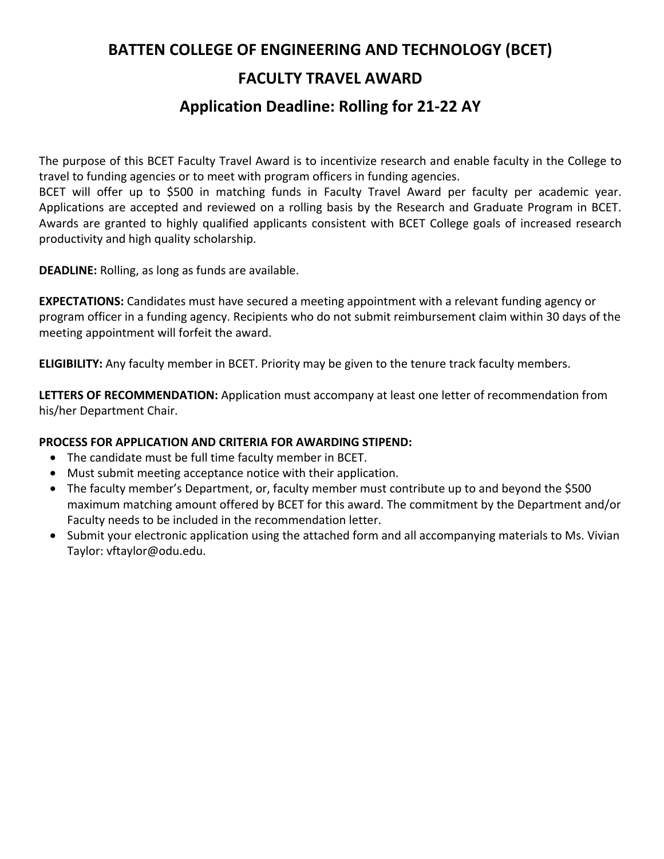## **BATTEN COLLEGE OF ENGINEERING AND TECHNOLOGY (BCET) FACULTY TRAVEL AWARD**

## **Application Deadline: Rolling for 21-22 AY**

The purpose of this BCET Faculty Travel Award is to incentivize research and enable faculty in the College to travel to funding agencies or to meet with program officers in funding agencies.

BCET will offer up to \$500 in matching funds in Faculty Travel Award per faculty per academic year. Applications are accepted and reviewed on a rolling basis by the Research and Graduate Program in BCET. Awards are granted to highly qualified applicants consistent with BCET College goals of increased research productivity and high quality scholarship.

**DEADLINE:** Rolling, as long as funds are available.

**EXPECTATIONS:** Candidates must have secured a meeting appointment with a relevant funding agency or program officer in a funding agency. Recipients who do not submit reimbursement claim within 30 days of the meeting appointment will forfeit the award.

**ELIGIBILITY:** Any faculty member in BCET. Priority may be given to the tenure track faculty members.

**LETTERS OF RECOMMENDATION:** Application must accompany at least one letter of recommendation from his/her Department Chair.

## **PROCESS FOR APPLICATION AND CRITERIA FOR AWARDING STIPEND:**

- The candidate must be full time faculty member in BCET.
- Must submit meeting acceptance notice with their application.
- The faculty member's Department, or, faculty member must contribute up to and beyond the \$500 maximum matching amount offered by BCET for this award. The commitment by the Department and/or Faculty needs to be included in the recommendation letter.
- Submit your electronic application using the attached form and all accompanying materials to Ms. Vivian Taylor: vftaylor@odu.edu.